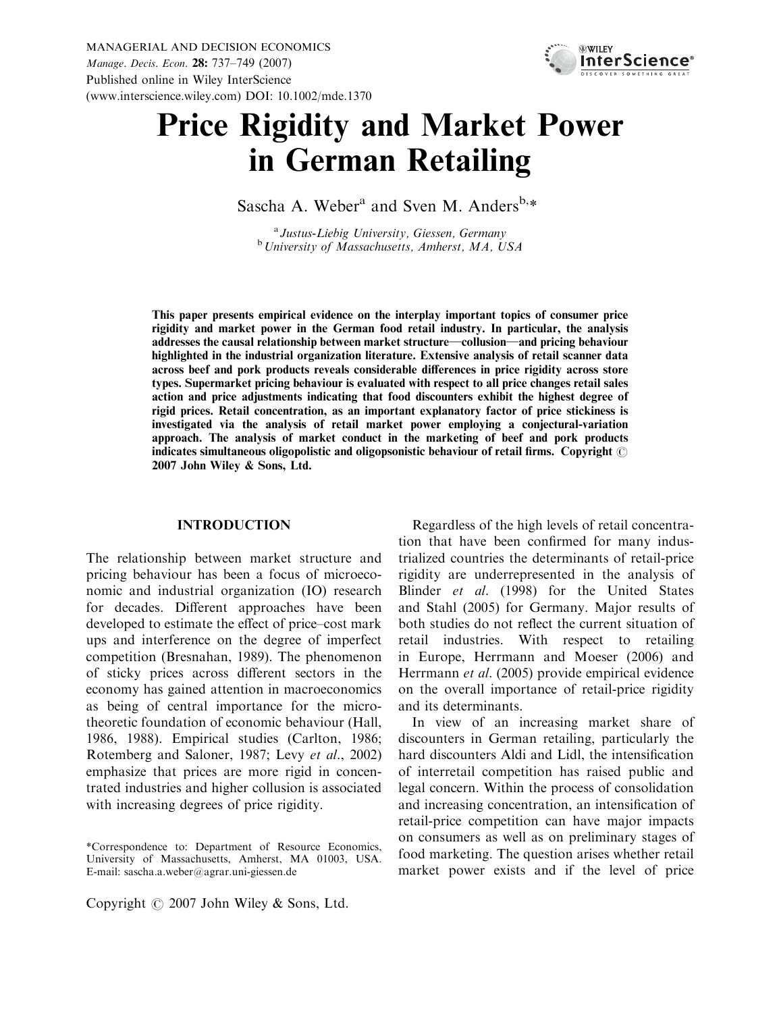

# Price Rigidity and Market Power in German Retailing

Sascha A. Weber<sup>a</sup> and Sven M. Anders<sup>b,\*</sup>

<sup>a</sup> Justus-Liebig University, Giessen, Germany  $^{b}$  University of Massachusetts, Amherst, MA, USA

This paper presents empirical evidence on the interplay important topics of consumer price rigidity and market power in the German food retail industry. In particular, the analysis addresses the causal relationship between market structure—collusion—and pricing behaviour highlighted in the industrial organization literature. Extensive analysis of retail scanner data across beef and pork products reveals considerable differences in price rigidity across store types. Supermarket pricing behaviour is evaluated with respect to all price changes retail sales action and price adjustments indicating that food discounters exhibit the highest degree of rigid prices. Retail concentration, as an important explanatory factor of price stickiness is investigated via the analysis of retail market power employing a conjectural-variation approach. The analysis of market conduct in the marketing of beef and pork products indicates simultaneous oligopolistic and oligopsonistic behaviour of retail firms. Copyright  $\odot$ 2007 John Wiley & Sons, Ltd.

# INTRODUCTION

The relationship between market structure and pricing behaviour has been a focus of microeconomic and industrial organization (IO) research for decades. Different approaches have been developed to estimate the effect of price–cost mark ups and interference on the degree of imperfect competition (Bresnahan, 1989). The phenomenon of sticky prices across different sectors in the economy has gained attention in macroeconomics as being of central importance for the microtheoretic foundation of economic behaviour (Hall, 1986, 1988). Empirical studies (Carlton, 1986; Rotemberg and Saloner, 1987; Levy et al., 2002) emphasize that prices are more rigid in concentrated industries and higher collusion is associated with increasing degrees of price rigidity.

Copyright  $\odot$  2007 John Wiley & Sons, Ltd.

Regardless of the high levels of retail concentration that have been confirmed for many industrialized countries the determinants of retail-price rigidity are underrepresented in the analysis of Blinder et al. (1998) for the United States and Stahl (2005) for Germany. Major results of both studies do not reflect the current situation of retail industries. With respect to retailing in Europe, Herrmann and Moeser (2006) and Herrmann et al. (2005) provide empirical evidence on the overall importance of retail-price rigidity and its determinants.

In view of an increasing market share of discounters in German retailing, particularly the hard discounters Aldi and Lidl, the intensification of interretail competition has raised public and legal concern. Within the process of consolidation and increasing concentration, an intensification of retail-price competition can have major impacts on consumers as well as on preliminary stages of food marketing. The question arises whether retail market power exists and if the level of price

<sup>\*</sup>Correspondence to: Department of Resource Economics, University of Massachusetts, Amherst, MA 01003, USA. E-mail: sascha.a.weber@agrar.uni-giessen.de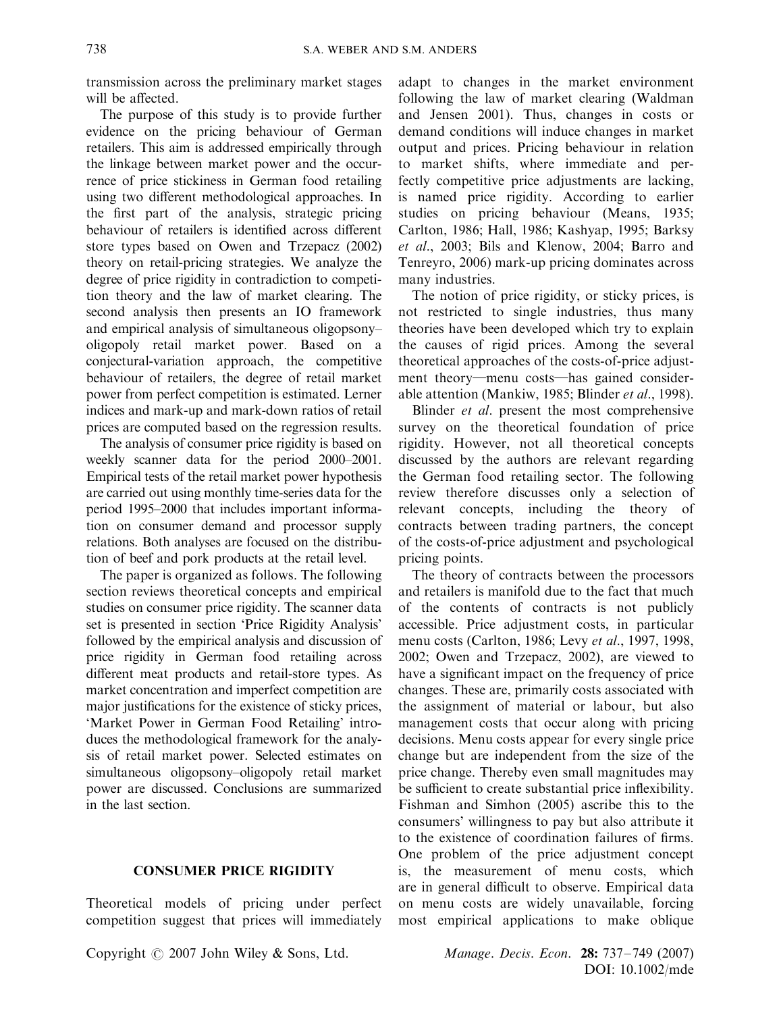transmission across the preliminary market stages will be affected.

The purpose of this study is to provide further evidence on the pricing behaviour of German retailers. This aim is addressed empirically through the linkage between market power and the occurrence of price stickiness in German food retailing using two different methodological approaches. In the first part of the analysis, strategic pricing behaviour of retailers is identified across different store types based on Owen and Trzepacz (2002) theory on retail-pricing strategies. We analyze the degree of price rigidity in contradiction to competition theory and the law of market clearing. The second analysis then presents an IO framework and empirical analysis of simultaneous oligopsony– oligopoly retail market power. Based on a conjectural-variation approach, the competitive behaviour of retailers, the degree of retail market power from perfect competition is estimated. Lerner indices and mark-up and mark-down ratios of retail prices are computed based on the regression results.

The analysis of consumer price rigidity is based on weekly scanner data for the period 2000–2001. Empirical tests of the retail market power hypothesis are carried out using monthly time-series data for the period 1995–2000 that includes important information on consumer demand and processor supply relations. Both analyses are focused on the distribution of beef and pork products at the retail level.

The paper is organized as follows. The following section reviews theoretical concepts and empirical studies on consumer price rigidity. The scanner data set is presented in section 'Price Rigidity Analysis' followed by the empirical analysis and discussion of price rigidity in German food retailing across different meat products and retail-store types. As market concentration and imperfect competition are major justifications for the existence of sticky prices, 'Market Power in German Food Retailing' introduces the methodological framework for the analysis of retail market power. Selected estimates on simultaneous oligopsony–oligopoly retail market power are discussed. Conclusions are summarized in the last section.

# CONSUMER PRICE RIGIDITY

Theoretical models of pricing under perfect competition suggest that prices will immediately

adapt to changes in the market environment following the law of market clearing (Waldman and Jensen 2001). Thus, changes in costs or demand conditions will induce changes in market output and prices. Pricing behaviour in relation to market shifts, where immediate and perfectly competitive price adjustments are lacking, is named price rigidity. According to earlier studies on pricing behaviour (Means, 1935; Carlton, 1986; Hall, 1986; Kashyap, 1995; Barksy et al., 2003; Bils and Klenow, 2004; Barro and Tenreyro, 2006) mark-up pricing dominates across many industries.

The notion of price rigidity, or sticky prices, is not restricted to single industries, thus many theories have been developed which try to explain the causes of rigid prices. Among the several theoretical approaches of the costs-of-price adjustment theory—menu costs—has gained considerable attention (Mankiw, 1985; Blinder et al., 1998).

Blinder *et al.* present the most comprehensive survey on the theoretical foundation of price rigidity. However, not all theoretical concepts discussed by the authors are relevant regarding the German food retailing sector. The following review therefore discusses only a selection of relevant concepts, including the theory of contracts between trading partners, the concept of the costs-of-price adjustment and psychological pricing points.

The theory of contracts between the processors and retailers is manifold due to the fact that much of the contents of contracts is not publicly accessible. Price adjustment costs, in particular menu costs (Carlton, 1986; Levy et al., 1997, 1998, 2002; Owen and Trzepacz, 2002), are viewed to have a significant impact on the frequency of price changes. These are, primarily costs associated with the assignment of material or labour, but also management costs that occur along with pricing decisions. Menu costs appear for every single price change but are independent from the size of the price change. Thereby even small magnitudes may be sufficient to create substantial price inflexibility. Fishman and Simhon (2005) ascribe this to the consumers' willingness to pay but also attribute it to the existence of coordination failures of firms. One problem of the price adjustment concept is, the measurement of menu costs, which are in general difficult to observe. Empirical data on menu costs are widely unavailable, forcing most empirical applications to make oblique

Copyright  $\odot$  2007 John Wiley & Sons, Ltd. Manage. Decis. Econ. 28: 737–749 (2007)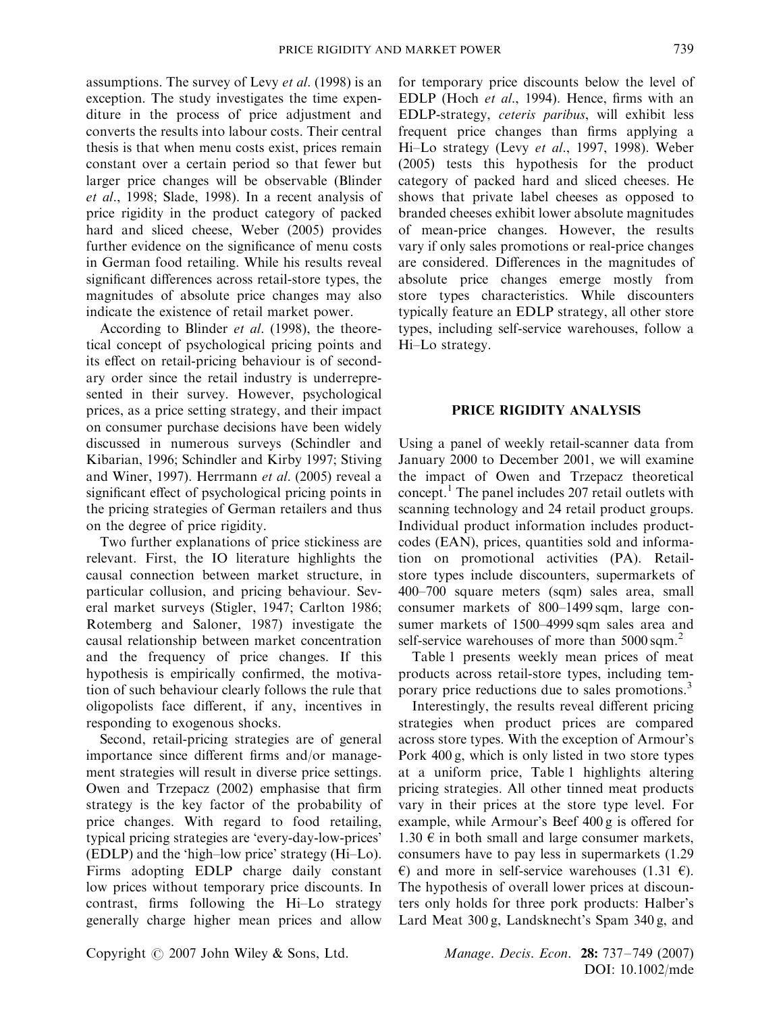assumptions. The survey of Levy et al. (1998) is an exception. The study investigates the time expenditure in the process of price adjustment and converts the results into labour costs. Their central thesis is that when menu costs exist, prices remain constant over a certain period so that fewer but larger price changes will be observable (Blinder et al., 1998; Slade, 1998). In a recent analysis of price rigidity in the product category of packed hard and sliced cheese, Weber (2005) provides further evidence on the significance of menu costs in German food retailing. While his results reveal significant differences across retail-store types, the magnitudes of absolute price changes may also indicate the existence of retail market power.

According to Blinder et al. (1998), the theoretical concept of psychological pricing points and its effect on retail-pricing behaviour is of secondary order since the retail industry is underrepresented in their survey. However, psychological prices, as a price setting strategy, and their impact on consumer purchase decisions have been widely discussed in numerous surveys (Schindler and Kibarian, 1996; Schindler and Kirby 1997; Stiving and Winer, 1997). Herrmann et al. (2005) reveal a significant effect of psychological pricing points in the pricing strategies of German retailers and thus on the degree of price rigidity.

Two further explanations of price stickiness are relevant. First, the IO literature highlights the causal connection between market structure, in particular collusion, and pricing behaviour. Several market surveys (Stigler, 1947; Carlton 1986; Rotemberg and Saloner, 1987) investigate the causal relationship between market concentration and the frequency of price changes. If this hypothesis is empirically confirmed, the motivation of such behaviour clearly follows the rule that oligopolists face different, if any, incentives in responding to exogenous shocks.

Second, retail-pricing strategies are of general importance since different firms and/or management strategies will result in diverse price settings. Owen and Trzepacz (2002) emphasise that firm strategy is the key factor of the probability of price changes. With regard to food retailing, typical pricing strategies are 'every-day-low-prices' (EDLP) and the 'high–low price' strategy (Hi–Lo). Firms adopting EDLP charge daily constant low prices without temporary price discounts. In contrast, firms following the Hi–Lo strategy generally charge higher mean prices and allow

for temporary price discounts below the level of EDLP (Hoch et al., 1994). Hence, firms with an EDLP-strategy, ceteris paribus, will exhibit less frequent price changes than firms applying a Hi–Lo strategy (Levy et al., 1997, 1998). Weber (2005) tests this hypothesis for the product category of packed hard and sliced cheeses. He shows that private label cheeses as opposed to branded cheeses exhibit lower absolute magnitudes of mean-price changes. However, the results vary if only sales promotions or real-price changes are considered. Differences in the magnitudes of absolute price changes emerge mostly from store types characteristics. While discounters typically feature an EDLP strategy, all other store types, including self-service warehouses, follow a Hi–Lo strategy.

# PRICE RIGIDITY ANALYSIS

Using a panel of weekly retail-scanner data from January 2000 to December 2001, we will examine the impact of Owen and Trzepacz theoretical concept. $<sup>1</sup>$  The panel includes 207 retail outlets with</sup> scanning technology and 24 retail product groups. Individual product information includes productcodes (EAN), prices, quantities sold and information on promotional activities (PA). Retailstore types include discounters, supermarkets of 400–700 square meters (sqm) sales area, small consumer markets of 800–1499 sqm, large consumer markets of 1500–4999 sqm sales area and self-service warehouses of more than 5000 sqm.<sup>2</sup>

Table 1 presents weekly mean prices of meat products across retail-store types, including temporary price reductions due to sales promotions.<sup>3</sup>

Interestingly, the results reveal different pricing strategies when product prices are compared across store types. With the exception of Armour's Pork 400 g, which is only listed in two store types at a uniform price, Table 1 highlights altering pricing strategies. All other tinned meat products vary in their prices at the store type level. For example, while Armour's Beef 400 g is offered for  $1.30 \text{ } \in$  in both small and large consumer markets, consumers have to pay less in supermarkets (1.29  $\epsilon$ ) and more in self-service warehouses (1.31  $\epsilon$ ). The hypothesis of overall lower prices at discounters only holds for three pork products: Halber's Lard Meat 300 g, Landsknecht's Spam 340 g, and

Copyright  $\odot$  2007 John Wiley & Sons, Ltd. Manage. Decis. Econ. 28: 737–749 (2007)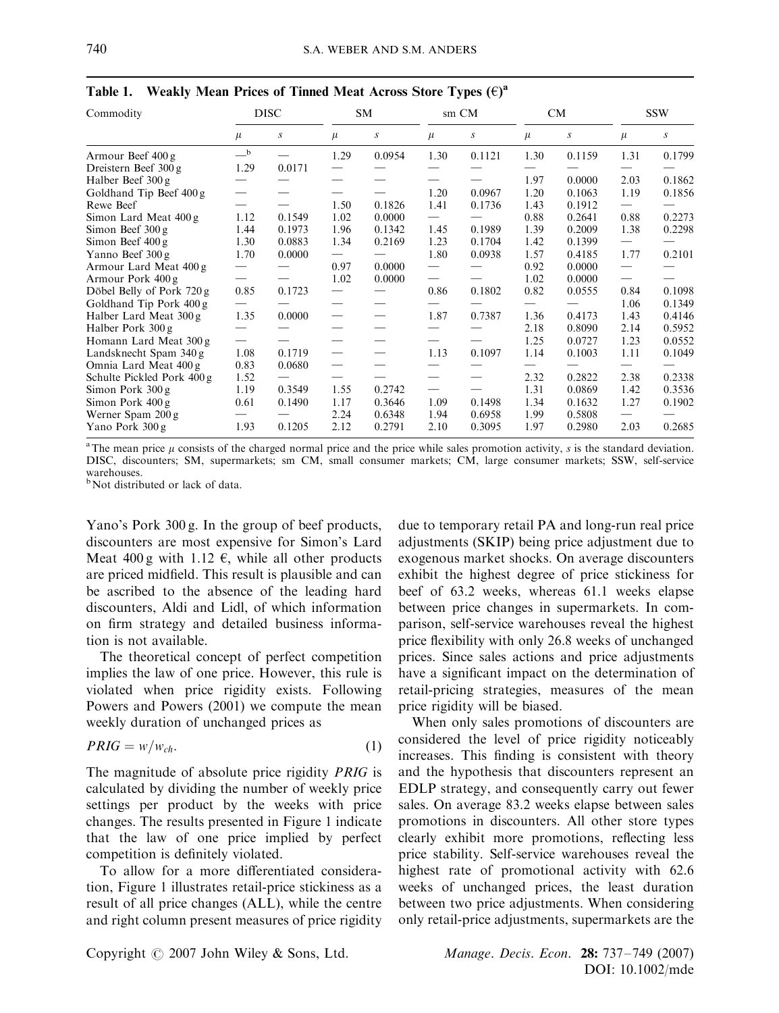| Commodity                  | <b>DISC</b>                             |        |       | SM     |                          | sm CM                    |                          | CM     |                               | <b>SSW</b> |  |
|----------------------------|-----------------------------------------|--------|-------|--------|--------------------------|--------------------------|--------------------------|--------|-------------------------------|------------|--|
|                            | $\mu$                                   | S      | $\mu$ | S      | $\mu$                    | S                        | $\mu$                    | S      | $\mu$                         | S          |  |
| Armour Beef 400 g          | $-^{\rm b}$                             |        | 1.29  | 0.0954 | 1.30                     | 0.1121                   | 1.30                     | 0.1159 | 1.31                          | 0.1799     |  |
| Dreistern Beef 300 g       | 1.29                                    | 0.0171 |       |        |                          |                          |                          |        |                               |            |  |
| Halber Beef $300 g$        |                                         |        |       |        |                          |                          | 1.97                     | 0.0000 | 2.03                          | 0.1862     |  |
| Goldhand Tip Beef 400 g    |                                         |        |       |        | 1.20                     | 0.0967                   | 1.20                     | 0.1063 | 1.19                          | 0.1856     |  |
| Rewe Beef                  |                                         |        | 1.50  | 0.1826 | 1.41                     | 0.1736                   | 1.43                     | 0.1912 |                               |            |  |
| Simon Lard Meat 400 g      | 1.12                                    | 0.1549 | 1.02  | 0.0000 |                          |                          | 0.88                     | 0.2641 | 0.88                          | 0.2273     |  |
| Simon Beef $300 g$         | 1.44                                    | 0.1973 | 1.96  | 0.1342 | 1.45                     | 0.1989                   | 1.39                     | 0.2009 | 1.38                          | 0.2298     |  |
| Simon Beef $400 g$         | 1.30                                    | 0.0883 | 1.34  | 0.2169 | 1.23                     | 0.1704                   | 1.42                     | 0.1399 |                               |            |  |
| Yanno Beef 300 g           | 1.70                                    | 0.0000 |       |        | 1.80                     | 0.0938                   | 1.57                     | 0.4185 | 1.77                          | 0.2101     |  |
| Armour Lard Meat 400 g     | $\overline{\phantom{0}}$                |        | 0.97  | 0.0000 |                          |                          | 0.92                     | 0.0000 | $\overbrace{\phantom{12333}}$ |            |  |
| Armour Pork 400 g          | $\hspace{1.0cm} \overline{\phantom{0}}$ |        | 1.02  | 0.0000 |                          |                          | 1.02                     | 0.0000 | $\overline{\phantom{0}}$      |            |  |
| Döbel Belly of Pork 720 g  | 0.85                                    | 0.1723 |       |        | 0.86                     | 0.1802                   | 0.82                     | 0.0555 | 0.84                          | 0.1098     |  |
| Goldhand Tip Pork 400 g    |                                         |        |       |        |                          |                          | $\overline{\phantom{0}}$ |        | 1.06                          | 0.1349     |  |
| Halber Lard Meat 300 g     | 1.35                                    | 0.0000 |       |        | 1.87                     | 0.7387                   | 1.36                     | 0.4173 | 1.43                          | 0.4146     |  |
| Halber Pork 300 g          |                                         |        |       |        |                          |                          | 2.18                     | 0.8090 | 2.14                          | 0.5952     |  |
| Homann Lard Meat 300 g     |                                         |        |       |        | $\overline{\phantom{0}}$ |                          | 1.25                     | 0.0727 | 1.23                          | 0.0552     |  |
| Landsknecht Spam 340 g     | 1.08                                    | 0.1719 |       |        | 1.13                     | 0.1097                   | 1.14                     | 0.1003 | 1.11                          | 0.1049     |  |
| Omnia Lard Meat 400 g      | 0.83                                    | 0.0680 |       |        |                          |                          |                          |        |                               |            |  |
| Schulte Pickled Pork 400 g | 1.52                                    |        |       |        | $\overline{\phantom{0}}$ | $\overline{\phantom{0}}$ | 2.32                     | 0.2822 | 2.38                          | 0.2338     |  |
| Simon Pork 300 g           | 1.19                                    | 0.3549 | 1.55  | 0.2742 | $\overline{\phantom{0}}$ |                          | 1.31                     | 0.0869 | 1.42                          | 0.3536     |  |
| Simon Pork 400 g           | 0.61                                    | 0.1490 | 1.17  | 0.3646 | 1.09                     | 0.1498                   | 1.34                     | 0.1632 | 1.27                          | 0.1902     |  |
| Werner Spam 200 g          |                                         |        | 2.24  | 0.6348 | 1.94                     | 0.6958                   | 1.99                     | 0.5808 |                               |            |  |
| Yano Pork 300 g            | 1.93                                    | 0.1205 | 2.12  | 0.2791 | 2.10                     | 0.3095                   | 1.97                     | 0.2980 | 2.03                          | 0.2685     |  |

Table 1. Weakly Mean Prices of Tinned Meat Across Store Types  $(\epsilon)^a$ 

<sup>a</sup>The mean price *u* consists of the charged normal price and the price while sales promotion activity, *s* is the standard deviation. DISC, discounters; SM, supermarkets; sm CM, small consumer markets; CM, large consumer markets; SSW, self-service warehouses.

<sup>b</sup>Not distributed or lack of data.

Yano's Pork 300 g. In the group of beef products, discounters are most expensive for Simon's Lard Meat 400 g with 1.12  $\epsilon$ , while all other products are priced midfield. This result is plausible and can be ascribed to the absence of the leading hard discounters, Aldi and Lidl, of which information on firm strategy and detailed business information is not available.

The theoretical concept of perfect competition implies the law of one price. However, this rule is violated when price rigidity exists. Following Powers and Powers (2001) we compute the mean weekly duration of unchanged prices as

$$
PRIG = w/w_{ch}.\tag{1}
$$

The magnitude of absolute price rigidity PRIG is calculated by dividing the number of weekly price settings per product by the weeks with price changes. The results presented in Figure 1 indicate that the law of one price implied by perfect competition is definitely violated.

To allow for a more differentiated consideration, Figure 1 illustrates retail-price stickiness as a result of all price changes (ALL), while the centre and right column present measures of price rigidity

due to temporary retail PA and long-run real price adjustments (SKIP) being price adjustment due to exogenous market shocks. On average discounters exhibit the highest degree of price stickiness for beef of 63.2 weeks, whereas 61.1 weeks elapse between price changes in supermarkets. In comparison, self-service warehouses reveal the highest price flexibility with only 26.8 weeks of unchanged prices. Since sales actions and price adjustments have a significant impact on the determination of retail-pricing strategies, measures of the mean price rigidity will be biased.

When only sales promotions of discounters are considered the level of price rigidity noticeably increases. This finding is consistent with theory and the hypothesis that discounters represent an EDLP strategy, and consequently carry out fewer sales. On average 83.2 weeks elapse between sales promotions in discounters. All other store types clearly exhibit more promotions, reflecting less price stability. Self-service warehouses reveal the highest rate of promotional activity with 62.6 weeks of unchanged prices, the least duration between two price adjustments. When considering only retail-price adjustments, supermarkets are the

Copyright  $\odot$  2007 John Wiley & Sons, Ltd. Manage. Decis. Econ. 28: 737–749 (2007)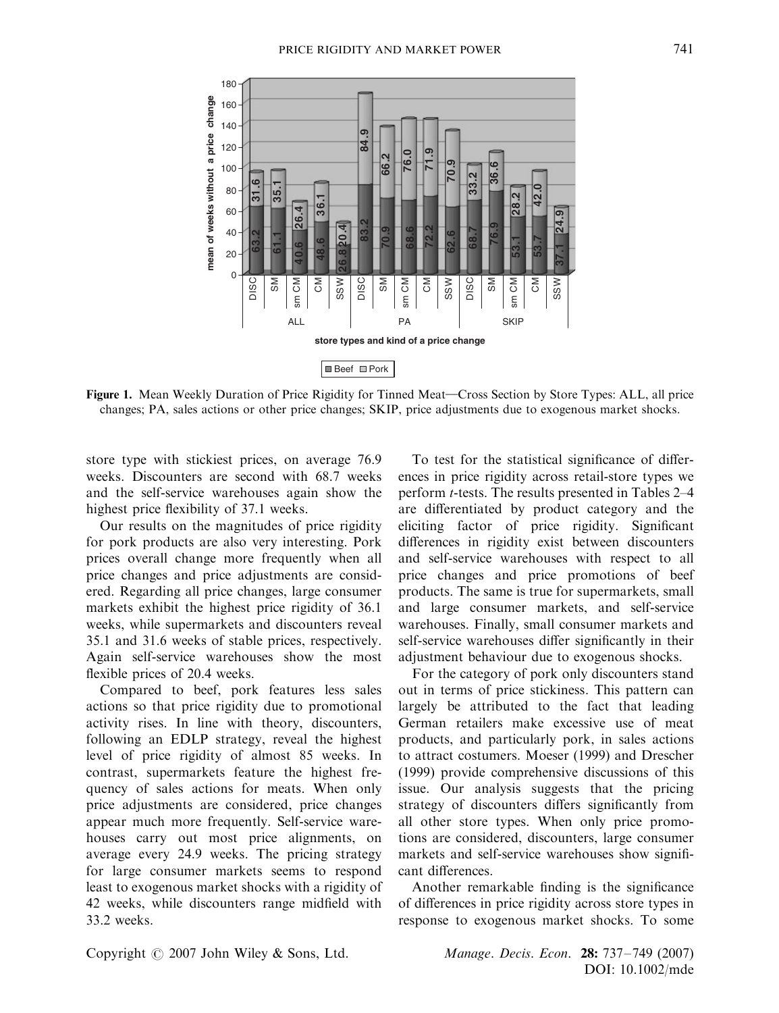

Figure 1. Mean Weekly Duration of Price Rigidity for Tinned Meat—Cross Section by Store Types: ALL, all price changes; PA, sales actions or other price changes; SKIP, price adjustments due to exogenous market shocks.

store type with stickiest prices, on average 76.9 weeks. Discounters are second with 68.7 weeks and the self-service warehouses again show the highest price flexibility of 37.1 weeks.

Our results on the magnitudes of price rigidity for pork products are also very interesting. Pork prices overall change more frequently when all price changes and price adjustments are considered. Regarding all price changes, large consumer markets exhibit the highest price rigidity of 36.1 weeks, while supermarkets and discounters reveal 35.1 and 31.6 weeks of stable prices, respectively. Again self-service warehouses show the most flexible prices of 20.4 weeks.

Compared to beef, pork features less sales actions so that price rigidity due to promotional activity rises. In line with theory, discounters, following an EDLP strategy, reveal the highest level of price rigidity of almost 85 weeks. In contrast, supermarkets feature the highest frequency of sales actions for meats. When only price adjustments are considered, price changes appear much more frequently. Self-service warehouses carry out most price alignments, on average every 24.9 weeks. The pricing strategy for large consumer markets seems to respond least to exogenous market shocks with a rigidity of 42 weeks, while discounters range midfield with 33.2 weeks.

To test for the statistical significance of differences in price rigidity across retail-store types we perform t-tests. The results presented in Tables 2–4 are differentiated by product category and the eliciting factor of price rigidity. Significant differences in rigidity exist between discounters and self-service warehouses with respect to all price changes and price promotions of beef products. The same is true for supermarkets, small and large consumer markets, and self-service warehouses. Finally, small consumer markets and self-service warehouses differ significantly in their adjustment behaviour due to exogenous shocks.

For the category of pork only discounters stand out in terms of price stickiness. This pattern can largely be attributed to the fact that leading German retailers make excessive use of meat products, and particularly pork, in sales actions to attract costumers. Moeser (1999) and Drescher (1999) provide comprehensive discussions of this issue. Our analysis suggests that the pricing strategy of discounters differs significantly from all other store types. When only price promotions are considered, discounters, large consumer markets and self-service warehouses show significant differences.

Another remarkable finding is the significance of differences in price rigidity across store types in response to exogenous market shocks. To some

Copyright  $\odot$  2007 John Wiley & Sons, Ltd. Manage. Decis. Econ. 28: 737–749 (2007) DOI: 10.1002/mde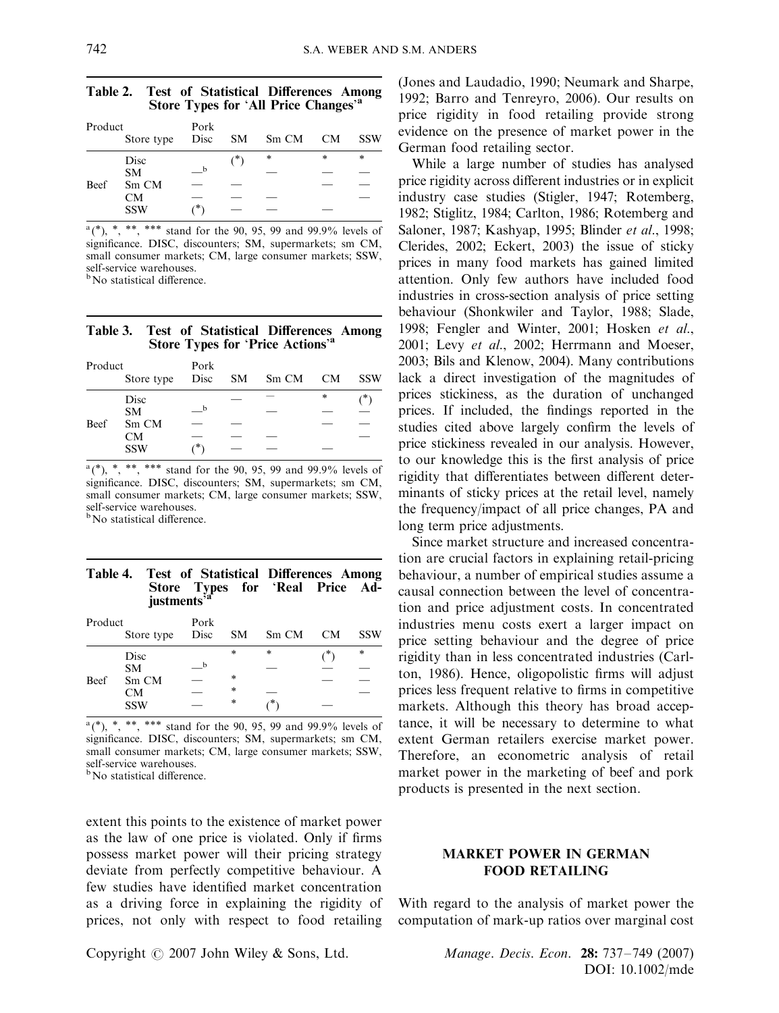| Table 2. Test of Statistical Differences Among |               | Store Types for 'All Price Changes' <sup>a</sup> |    |            |
|------------------------------------------------|---------------|--------------------------------------------------|----|------------|
| Product<br>Since time                          | Pork<br>Disc. | $SM$ Sm $CM$                                     | CM | <b>SSW</b> |

|      | Store type |              |    | Disc SM Sm CM CM |   | <b>SSW</b> |
|------|------------|--------------|----|------------------|---|------------|
|      | Disc       |              | ∕* | *                | * | *          |
|      | <b>SM</b>  | $\mathbf{b}$ |    |                  |   |            |
| Beef | Sm CM      |              |    |                  |   |            |
|      | CМ         |              |    |                  |   |            |
|      | <b>SSW</b> | *            |    |                  |   |            |

 $a^*$ ,  $*,$   $*,$   $*,$   $*,$   $*$  stand for the 90, 95, 99 and 99.9% levels of significance. DISC, discounters; SM, supermarkets; sm CM, small consumer markets; CM, large consumer markets; SSW, self-service warehouses.

<sup>b</sup>No statistical difference.

Table 3. Test of Statistical Differences Among Store Types for 'Price Actions' a

| Product     |            | Pork |             |   |            |
|-------------|------------|------|-------------|---|------------|
|             | Store type | Disc | SM Sm CM CM |   | <b>SSW</b> |
|             | Disc       |      |             | * |            |
|             | <b>SM</b>  | b    |             |   |            |
| <b>Beef</b> | Sm CM      |      |             |   |            |
|             | CМ         |      |             |   |            |
|             | <b>SSW</b> |      |             |   |            |

 $a^*$ , \*, \*\*, \*\*\* stand for the 90, 95, 99 and 99.9% levels of significance. DISC, discounters; SM, supermarkets; sm CM, small consumer markets; CM, large consumer markets; SSW, self-service warehouses.

 $b$ No statistical difference.

|                                                            | Table 4. Test of Statistical Differences Among |  |  |
|------------------------------------------------------------|------------------------------------------------|--|--|
| Store Types for 'Real Price Ad-<br>justments <sup>34</sup> |                                                |  |  |

| Product | Store type | Pork<br>Disc |   | SM Sm CM | CM | <b>SSW</b> |
|---------|------------|--------------|---|----------|----|------------|
|         | Disc       |              | * | *        |    | *          |
|         | <b>SM</b>  | $\mathbf{b}$ |   |          |    |            |
| Beef    | Sm CM      |              | * |          |    |            |
|         | CМ         |              | * |          |    |            |
|         | <b>SSW</b> |              | * |          |    |            |

 $a^*$ ,  $*,$   $*,$   $*,$   $*,$   $*$  stand for the 90, 95, 99 and 99.9% levels of significance. DISC, discounters; SM, supermarkets; sm CM, small consumer markets; CM, large consumer markets; SSW, self-service warehouses.

<sup>b</sup>No statistical difference.

extent this points to the existence of market power as the law of one price is violated. Only if firms possess market power will their pricing strategy deviate from perfectly competitive behaviour. A few studies have identified market concentration as a driving force in explaining the rigidity of prices, not only with respect to food retailing

(Jones and Laudadio, 1990; Neumark and Sharpe, 1992; Barro and Tenreyro, 2006). Our results on price rigidity in food retailing provide strong evidence on the presence of market power in the German food retailing sector.

While a large number of studies has analysed price rigidity across different industries or in explicit industry case studies (Stigler, 1947; Rotemberg, 1982; Stiglitz, 1984; Carlton, 1986; Rotemberg and Saloner, 1987; Kashyap, 1995; Blinder et al., 1998; Clerides, 2002; Eckert, 2003) the issue of sticky prices in many food markets has gained limited attention. Only few authors have included food industries in cross-section analysis of price setting behaviour (Shonkwiler and Taylor, 1988; Slade, 1998; Fengler and Winter, 2001; Hosken et al., 2001; Levy et al., 2002; Herrmann and Moeser, 2003; Bils and Klenow, 2004). Many contributions lack a direct investigation of the magnitudes of prices stickiness, as the duration of unchanged prices. If included, the findings reported in the studies cited above largely confirm the levels of price stickiness revealed in our analysis. However, to our knowledge this is the first analysis of price rigidity that differentiates between different determinants of sticky prices at the retail level, namely the frequency/impact of all price changes, PA and long term price adjustments.

Since market structure and increased concentration are crucial factors in explaining retail-pricing behaviour, a number of empirical studies assume a causal connection between the level of concentration and price adjustment costs. In concentrated industries menu costs exert a larger impact on price setting behaviour and the degree of price rigidity than in less concentrated industries (Carlton, 1986). Hence, oligopolistic firms will adjust prices less frequent relative to firms in competitive markets. Although this theory has broad acceptance, it will be necessary to determine to what extent German retailers exercise market power. Therefore, an econometric analysis of retail market power in the marketing of beef and pork products is presented in the next section.

# MARKET POWER IN GERMAN FOOD RETAILING

With regard to the analysis of market power the computation of mark-up ratios over marginal cost

Copyright  $\odot$  2007 John Wiley & Sons, Ltd. Manage. Decis. Econ. 28: 737–749 (2007) DOI: 10.1002/mde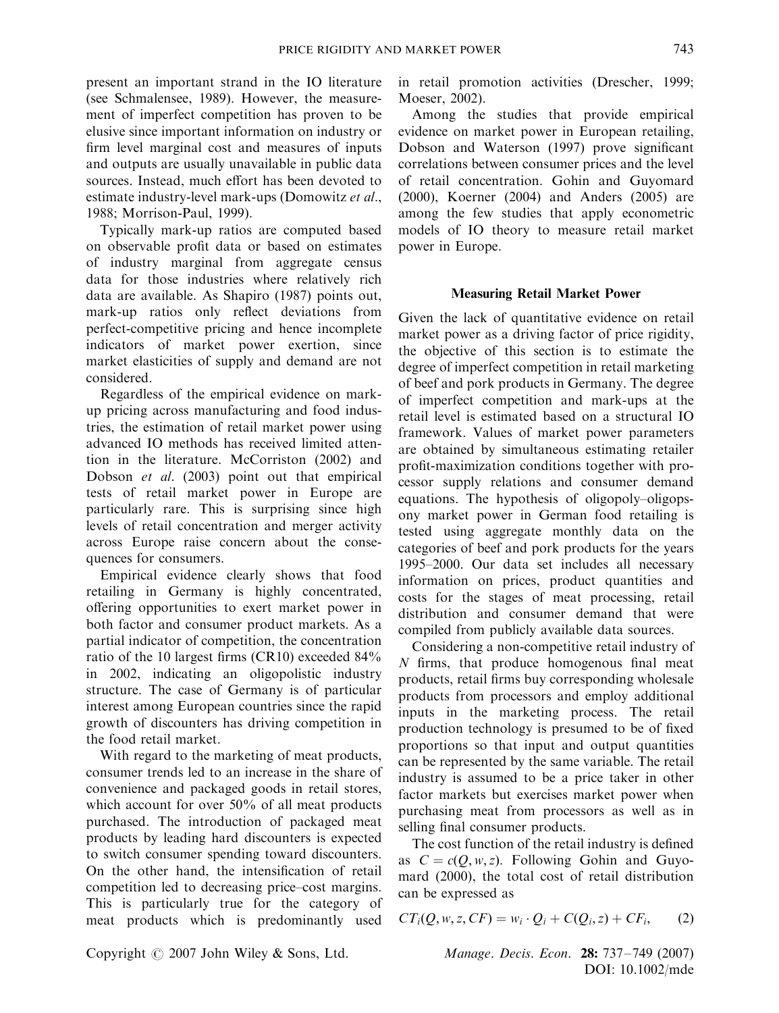present an important strand in the IO literature (see Schmalensee, 1989). However, the measurement of imperfect competition has proven to be elusive since important information on industry or firm level marginal cost and measures of inputs and outputs are usually unavailable in public data sources. Instead, much effort has been devoted to estimate industry-level mark-ups (Domowitz et al., 1988; Morrison-Paul, 1999).

Typically mark-up ratios are computed based on observable profit data or based on estimates of industry marginal from aggregate census data for those industries where relatively rich data are available. As Shapiro (1987) points out, mark-up ratios only reflect deviations from perfect-competitive pricing and hence incomplete indicators of market power exertion, since market elasticities of supply and demand are not considered.

Regardless of the empirical evidence on markup pricing across manufacturing and food industries, the estimation of retail market power using advanced IO methods has received limited attention in the literature. McCorriston (2002) and Dobson et al. (2003) point out that empirical tests of retail market power in Europe are particularly rare. This is surprising since high levels of retail concentration and merger activity across Europe raise concern about the consequences for consumers.

Empirical evidence clearly shows that food retailing in Germany is highly concentrated, offering opportunities to exert market power in both factor and consumer product markets. As a partial indicator of competition, the concentration ratio of the 10 largest firms (CR10) exceeded 84% in 2002, indicating an oligopolistic industry structure. The case of Germany is of particular interest among European countries since the rapid growth of discounters has driving competition in the food retail market.

With regard to the marketing of meat products, consumer trends led to an increase in the share of convenience and packaged goods in retail stores, which account for over 50% of all meat products purchased. The introduction of packaged meat products by leading hard discounters is expected to switch consumer spending toward discounters. On the other hand, the intensification of retail competition led to decreasing price–cost margins. This is particularly true for the category of meat products which is predominantly used

in retail promotion activities (Drescher, 1999; Moeser, 2002).

Among the studies that provide empirical evidence on market power in European retailing, Dobson and Waterson (1997) prove significant correlations between consumer prices and the level of retail concentration. Gohin and Guyomard (2000), Koerner (2004) and Anders (2005) are among the few studies that apply econometric models of IO theory to measure retail market power in Europe.

#### Measuring Retail Market Power

Given the lack of quantitative evidence on retail market power as a driving factor of price rigidity, the objective of this section is to estimate the degree of imperfect competition in retail marketing of beef and pork products in Germany. The degree of imperfect competition and mark-ups at the retail level is estimated based on a structural IO framework. Values of market power parameters are obtained by simultaneous estimating retailer profit-maximization conditions together with processor supply relations and consumer demand equations. The hypothesis of oligopoly–oligopsony market power in German food retailing is tested using aggregate monthly data on the categories of beef and pork products for the years 1995–2000. Our data set includes all necessary information on prices, product quantities and costs for the stages of meat processing, retail distribution and consumer demand that were compiled from publicly available data sources.

Considering a non-competitive retail industry of  $N$  firms, that produce homogenous final meat products, retail firms buy corresponding wholesale products from processors and employ additional inputs in the marketing process. The retail production technology is presumed to be of fixed proportions so that input and output quantities can be represented by the same variable. The retail industry is assumed to be a price taker in other factor markets but exercises market power when purchasing meat from processors as well as in selling final consumer products.

The cost function of the retail industry is defined as  $C = c(Q, w, z)$ . Following Gohin and Guyomard (2000), the total cost of retail distribution can be expressed as

$$
CT_i(Q, w, z, CF) = w_i \cdot Q_i + C(Q_i, z) + CF_i,
$$
 (2)

DOI: 10.1002/mde

Copyright  $\odot$  2007 John Wiley & Sons, Ltd. Manage. Decis. Econ. 28: 737–749 (2007)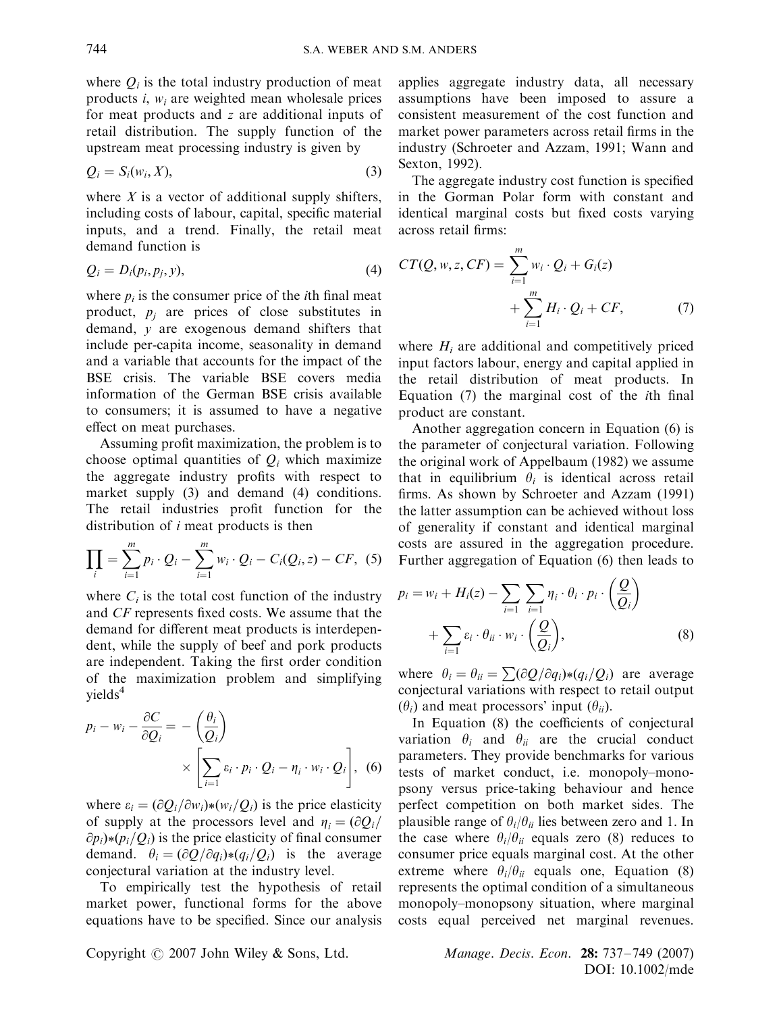where  $Q_i$  is the total industry production of meat products  $i$ ,  $w_i$  are weighted mean wholesale prices for meat products and z are additional inputs of retail distribution. The supply function of the upstream meat processing industry is given by

$$
Q_i = S_i(w_i, X), \tag{3}
$$

where  $X$  is a vector of additional supply shifters, including costs of labour, capital, specific material inputs, and a trend. Finally, the retail meat demand function is

$$
Q_i = D_i(p_i, p_j, y), \tag{4}
$$

where  $p_i$  is the consumer price of the *i*th final meat product,  $p_i$  are prices of close substitutes in demand, y are exogenous demand shifters that include per-capita income, seasonality in demand and a variable that accounts for the impact of the BSE crisis. The variable BSE covers media information of the German BSE crisis available to consumers; it is assumed to have a negative effect on meat purchases.

Assuming profit maximization, the problem is to choose optimal quantities of  $Q_i$  which maximize the aggregate industry profits with respect to market supply (3) and demand (4) conditions. The retail industries profit function for the distribution of *i* meat products is then

$$
\prod_{i} = \sum_{i=1}^{m} p_i \cdot Q_i - \sum_{i=1}^{m} w_i \cdot Q_i - C_i(Q_i, z) - CF, (5)
$$

where  $C_i$  is the total cost function of the industry and CF represents fixed costs. We assume that the demand for different meat products is interdependent, while the supply of beef and pork products are independent. Taking the first order condition of the maximization problem and simplifying yields<sup>4</sup>

$$
p_i - w_i - \frac{\partial C}{\partial Q_i} = -\left(\frac{\theta_i}{Q_i}\right)
$$

$$
\times \left[\sum_{i=1}^{\infty} \varepsilon_i \cdot p_i \cdot Q_i - \eta_i \cdot w_i \cdot Q_i\right], \quad (6)
$$

where  $\varepsilon_i = (\partial Q_i/\partial w_i)*(w_i/Q_i)$  is the price elasticity of supply at the processors level and  $\eta_i = (\partial Q_i)$  $\partial p_i$   $\ast$  ( $p_i$  /O<sub>i</sub>) is the price elasticity of final consumer demand.  $\theta_i = (\partial Q/\partial q_i)*(q_i/Q_i)$  is the average conjectural variation at the industry level.

To empirically test the hypothesis of retail market power, functional forms for the above equations have to be specified. Since our analysis applies aggregate industry data, all necessary assumptions have been imposed to assure a consistent measurement of the cost function and market power parameters across retail firms in the industry (Schroeter and Azzam, 1991; Wann and Sexton, 1992).

The aggregate industry cost function is specified in the Gorman Polar form with constant and identical marginal costs but fixed costs varying across retail firms:

$$
CT(Q, w, z, CF) = \sum_{i=1}^{m} w_i \cdot Q_i + G_i(z)
$$

$$
+ \sum_{i=1}^{m} H_i \cdot Q_i + CF,
$$
(7)

where  $H_i$  are additional and competitively priced input factors labour, energy and capital applied in the retail distribution of meat products. In Equation (7) the marginal cost of the ith final product are constant.

Another aggregation concern in Equation (6) is the parameter of conjectural variation. Following the original work of Appelbaum (1982) we assume that in equilibrium  $\theta_i$  is identical across retail firms. As shown by Schroeter and Azzam (1991) the latter assumption can be achieved without loss of generality if constant and identical marginal costs are assured in the aggregation procedure. Further aggregation of Equation (6) then leads to

$$
p_i = w_i + H_i(z) - \sum_{i=1} \sum_{i=1} \eta_i \cdot \theta_i \cdot p_i \cdot \left(\frac{Q}{Q_i}\right) + \sum_{i=1} \varepsilon_i \cdot \theta_{ii} \cdot w_i \cdot \left(\frac{Q}{Q_i}\right),
$$
 (8)

where  $\theta_i = \theta_{ii} = \sum (\partial Q/\partial q_i)*(q_i/Q_i)$  are average conjectural variations with respect to retail output  $(\theta_i)$  and meat processors' input  $(\theta_{ii})$ .

In Equation (8) the coefficients of conjectural variation  $\theta_i$  and  $\theta_{ii}$  are the crucial conduct parameters. They provide benchmarks for various tests of market conduct, i.e. monopoly–monopsony versus price-taking behaviour and hence perfect competition on both market sides. The plausible range of  $\theta_i/\theta_{ii}$  lies between zero and 1. In the case where  $\theta_i/\theta_{ii}$  equals zero (8) reduces to consumer price equals marginal cost. At the other extreme where  $\theta_i/\theta_{ii}$  equals one, Equation (8) represents the optimal condition of a simultaneous monopoly–monopsony situation, where marginal costs equal perceived net marginal revenues.

Copyright  $\odot$  2007 John Wiley & Sons, Ltd. Manage. Decis. Econ. 28: 737–749 (2007)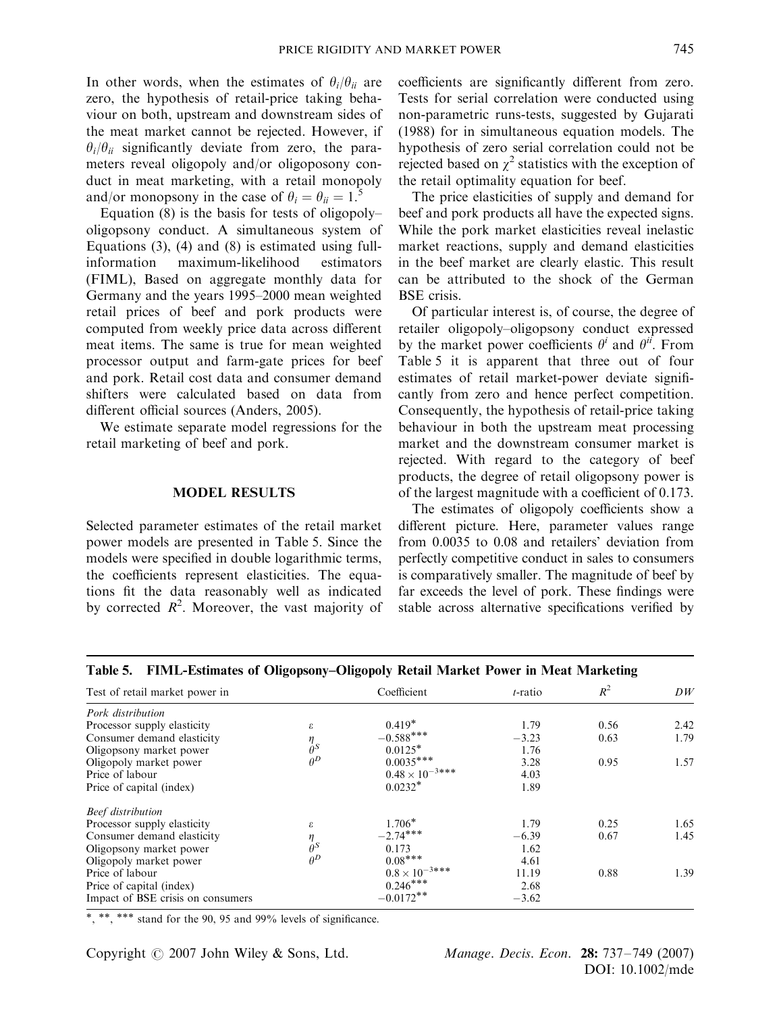In other words, when the estimates of  $\theta_i/\theta_{ii}$  are zero, the hypothesis of retail-price taking behaviour on both, upstream and downstream sides of the meat market cannot be rejected. However, if  $\theta_i/\theta_{ii}$  significantly deviate from zero, the parameters reveal oligopoly and/or oligoposony conduct in meat marketing, with a retail monopoly and/or monopsony in the case of  $\theta_i = \theta_{ii} = 1$ .<sup>5</sup>

Equation  $(8)$  is the basis for tests of oligopolyoligopsony conduct. A simultaneous system of Equations (3), (4) and (8) is estimated using fullinformation maximum-likelihood estimators (FIML), Based on aggregate monthly data for Germany and the years 1995–2000 mean weighted retail prices of beef and pork products were computed from weekly price data across different meat items. The same is true for mean weighted processor output and farm-gate prices for beef and pork. Retail cost data and consumer demand shifters were calculated based on data from different official sources (Anders, 2005).

We estimate separate model regressions for the retail marketing of beef and pork.

# MODEL RESULTS

Selected parameter estimates of the retail market power models are presented in Table 5. Since the models were specified in double logarithmic terms, the coefficients represent elasticities. The equations fit the data reasonably well as indicated by corrected  $R^2$ . Moreover, the vast majority of

coefficients are significantly different from zero. Tests for serial correlation were conducted using non-parametric runs-tests, suggested by Gujarati (1988) for in simultaneous equation models. The hypothesis of zero serial correlation could not be rejected based on  $\chi^2$  statistics with the exception of the retail optimality equation for beef.

The price elasticities of supply and demand for beef and pork products all have the expected signs. While the pork market elasticities reveal inelastic market reactions, supply and demand elasticities in the beef market are clearly elastic. This result can be attributed to the shock of the German BSE crisis.

Of particular interest is, of course, the degree of retailer oligopoly–oligopsony conduct expressed by the market power coefficients  $\theta^i$  and  $\theta^u$ . From Table 5 it is apparent that three out of four estimates of retail market-power deviate significantly from zero and hence perfect competition. Consequently, the hypothesis of retail-price taking behaviour in both the upstream meat processing market and the downstream consumer market is rejected. With regard to the category of beef products, the degree of retail oligopsony power is of the largest magnitude with a coefficient of 0.173.

The estimates of oligopoly coefficients show a different picture. Here, parameter values range from 0.0035 to 0.08 and retailers' deviation from perfectly competitive conduct in sales to consumers is comparatively smaller. The magnitude of beef by far exceeds the level of pork. These findings were stable across alternative specifications verified by

| Test of retail market power in    |                         | Coefficient              | $t$ -ratio | $R^2$ | DW   |
|-----------------------------------|-------------------------|--------------------------|------------|-------|------|
| Pork distribution                 |                         |                          |            |       |      |
| Processor supply elasticity       | ε                       | $0.419*$                 | 1.79       | 0.56  | 2.42 |
| Consumer demand elasticity        |                         | $-0.588***$              | $-3.23$    | 0.63  | 1.79 |
| Oligopsony market power           | $\frac{\eta}{\theta^s}$ | $0.0125*$                | 1.76       |       |      |
| Oligopoly market power            | $\rho^D$                | $0.0035***$              | 3.28       | 0.95  | 1.57 |
| Price of labour                   |                         | $0.48 \times 10^{-3***}$ | 4.03       |       |      |
| Price of capital (index)          |                         | $0.0232*$                | 1.89       |       |      |
| Beef distribution                 |                         |                          |            |       |      |
| Processor supply elasticity       | ε                       | $1.706*$                 | 1.79       | 0.25  | 1.65 |
| Consumer demand elasticity        |                         | $-2.74***$               | $-6.39$    | 0.67  | 1.45 |
| Oligopsony market power           | $\frac{\eta}{\theta^s}$ | 0.173                    | 1.62       |       |      |
| Oligopoly market power            | $\theta^D$              | $0.08***$                | 4.61       |       |      |
| Price of labour                   |                         | $0.8 \times 10^{-3***}$  | 11.19      | 0.88  | 1.39 |
| Price of capital (index)          |                         | $0.246***$               | 2.68       |       |      |
| Impact of BSE crisis on consumers |                         | $-0.0172**$              | $-3.62$    |       |      |

Table 5. FIML-Estimates of Oligopsony–Oligopoly Retail Market Power in Meat Marketing

 $*,$  \*\*, \*\*\* stand for the 90, 95 and 99% levels of significance.

Copyright  $\odot$  2007 John Wiley & Sons, Ltd. Manage. Decis. Econ. 28: 737–749 (2007)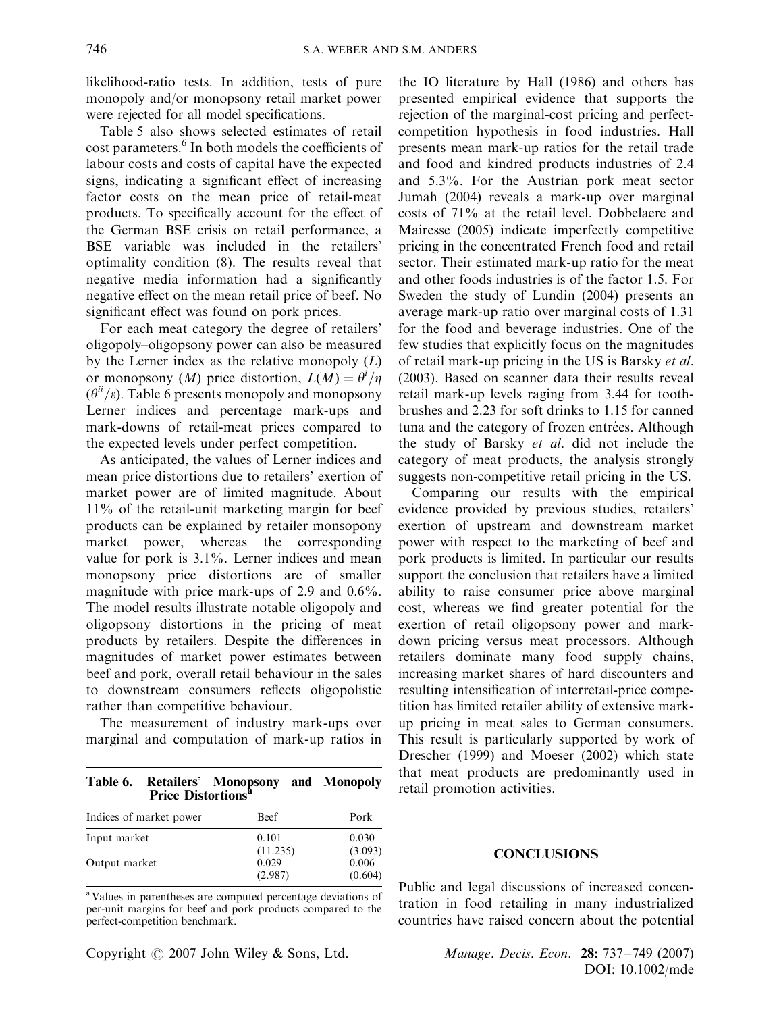likelihood-ratio tests. In addition, tests of pure monopoly and/or monopsony retail market power were rejected for all model specifications.

Table 5 also shows selected estimates of retail cost parameters.<sup>6</sup> In both models the coefficients of labour costs and costs of capital have the expected signs, indicating a significant effect of increasing factor costs on the mean price of retail-meat products. To specifically account for the effect of the German BSE crisis on retail performance, a BSE variable was included in the retailers' optimality condition (8). The results reveal that negative media information had a significantly negative effect on the mean retail price of beef. No significant effect was found on pork prices.

For each meat category the degree of retailers' oligopoly–oligopsony power can also be measured by the Lerner index as the relative monopoly  $(L)$ or monopsony (*M*) price distortion,  $L(M) = \theta^i / \eta$  $(\theta^{u}/\varepsilon)$ . Table 6 presents monopoly and monopsony Lerner indices and percentage mark-ups and mark-downs of retail-meat prices compared to the expected levels under perfect competition.

As anticipated, the values of Lerner indices and mean price distortions due to retailers' exertion of market power are of limited magnitude. About 11% of the retail-unit marketing margin for beef products can be explained by retailer monsopony market power, whereas the corresponding value for pork is 3.1%. Lerner indices and mean monopsony price distortions are of smaller magnitude with price mark-ups of 2.9 and 0.6%. The model results illustrate notable oligopoly and oligopsony distortions in the pricing of meat products by retailers. Despite the differences in magnitudes of market power estimates between beef and pork, overall retail behaviour in the sales to downstream consumers reflects oligopolistic rather than competitive behaviour.

The measurement of industry mark-ups over marginal and computation of mark-up ratios in

|               | <b>Price Distortions<sup>a</sup></b> | Table 6. Retailers' Monopsony and Monopoly |                  |
|---------------|--------------------------------------|--------------------------------------------|------------------|
|               | Indices of market power              | Beef                                       | Pork             |
| Input market  |                                      | 0.101<br>(11.235)                          | 0.030<br>(3.093) |
| Output market |                                      | 0.029<br>(2.987)                           | 0.006<br>(0.604) |

<sup>a</sup>Values in parentheses are computed percentage deviations of per-unit margins for beef and pork products compared to the perfect-competition benchmark.

Copyright  $\odot$  2007 John Wiley & Sons, Ltd. Manage. Decis. Econ. 28: 737–749 (2007)

the IO literature by Hall (1986) and others has presented empirical evidence that supports the rejection of the marginal-cost pricing and perfectcompetition hypothesis in food industries. Hall presents mean mark-up ratios for the retail trade and food and kindred products industries of 2.4 and 5.3%. For the Austrian pork meat sector Jumah (2004) reveals a mark-up over marginal costs of 71% at the retail level. Dobbelaere and Mairesse (2005) indicate imperfectly competitive pricing in the concentrated French food and retail sector. Their estimated mark-up ratio for the meat and other foods industries is of the factor 1.5. For Sweden the study of Lundin (2004) presents an average mark-up ratio over marginal costs of 1.31 for the food and beverage industries. One of the few studies that explicitly focus on the magnitudes of retail mark-up pricing in the US is Barsky et al. (2003). Based on scanner data their results reveal retail mark-up levels raging from 3.44 for toothbrushes and 2.23 for soft drinks to 1.15 for canned tuna and the category of frozen entrées. Although the study of Barsky et al. did not include the category of meat products, the analysis strongly suggests non-competitive retail pricing in the US.

Comparing our results with the empirical evidence provided by previous studies, retailers' exertion of upstream and downstream market power with respect to the marketing of beef and pork products is limited. In particular our results support the conclusion that retailers have a limited ability to raise consumer price above marginal cost, whereas we find greater potential for the exertion of retail oligopsony power and markdown pricing versus meat processors. Although retailers dominate many food supply chains, increasing market shares of hard discounters and resulting intensification of interretail-price competition has limited retailer ability of extensive markup pricing in meat sales to German consumers. This result is particularly supported by work of Drescher (1999) and Moeser (2002) which state that meat products are predominantly used in retail promotion activities.

#### CONCLUSIONS

Public and legal discussions of increased concentration in food retailing in many industrialized countries have raised concern about the potential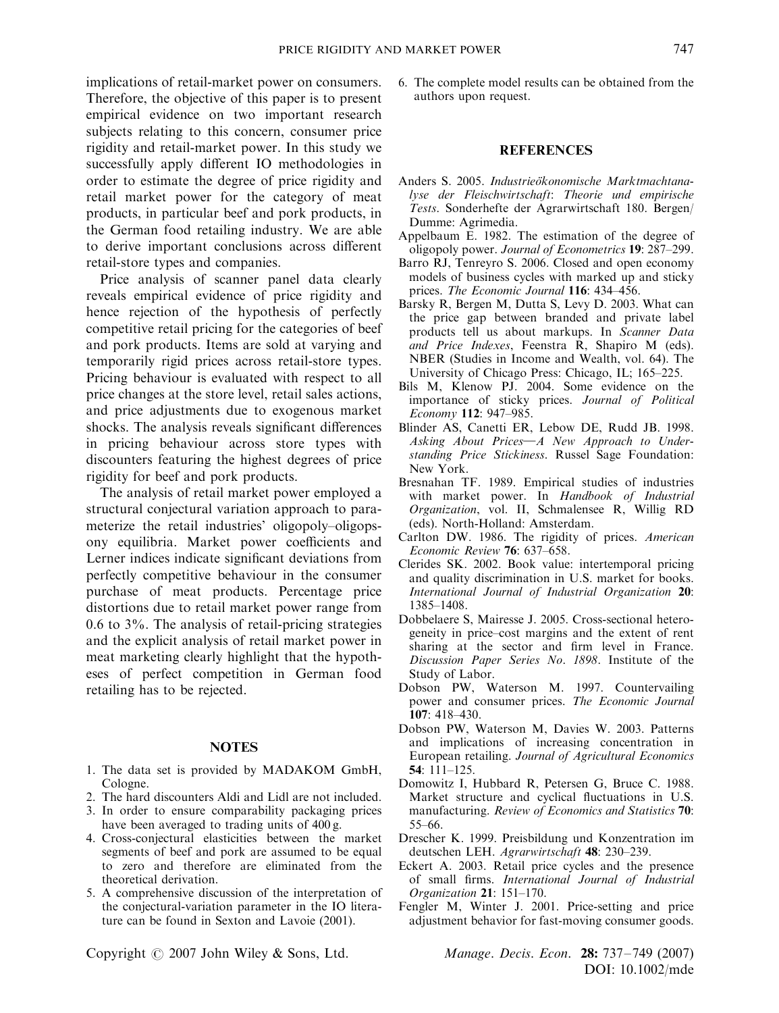implications of retail-market power on consumers. Therefore, the objective of this paper is to present empirical evidence on two important research subjects relating to this concern, consumer price rigidity and retail-market power. In this study we successfully apply different IO methodologies in order to estimate the degree of price rigidity and retail market power for the category of meat products, in particular beef and pork products, in the German food retailing industry. We are able to derive important conclusions across different retail-store types and companies.

Price analysis of scanner panel data clearly reveals empirical evidence of price rigidity and hence rejection of the hypothesis of perfectly competitive retail pricing for the categories of beef and pork products. Items are sold at varying and temporarily rigid prices across retail-store types. Pricing behaviour is evaluated with respect to all price changes at the store level, retail sales actions, and price adjustments due to exogenous market shocks. The analysis reveals significant differences in pricing behaviour across store types with discounters featuring the highest degrees of price rigidity for beef and pork products.

The analysis of retail market power employed a structural conjectural variation approach to parameterize the retail industries' oligopoly–oligopsony equilibria. Market power coefficients and Lerner indices indicate significant deviations from perfectly competitive behaviour in the consumer purchase of meat products. Percentage price distortions due to retail market power range from 0.6 to 3%. The analysis of retail-pricing strategies and the explicit analysis of retail market power in meat marketing clearly highlight that the hypotheses of perfect competition in German food retailing has to be rejected.

#### **NOTES**

- 1. The data set is provided by MADAKOM GmbH, Cologne.
- 2. The hard discounters Aldi and Lidl are not included.
- 3. In order to ensure comparability packaging prices have been averaged to trading units of 400 g.
- 4. Cross-conjectural elasticities between the market segments of beef and pork are assumed to be equal to zero and therefore are eliminated from the theoretical derivation.
- 5. A comprehensive discussion of the interpretation of the conjectural-variation parameter in the IO literature can be found in Sexton and Lavoie (2001).

Copyright  $\odot$  2007 John Wiley & Sons, Ltd. Manage. Decis. Econ. 28: 737–749 (2007)

6. The complete model results can be obtained from the authors upon request.

### **REFERENCES**

- Anders S. 2005. Industrieökonomische Marktmachtanalyse der Fleischwirtschaft: Theorie und empirische Tests. Sonderhefte der Agrarwirtschaft 180. Bergen/ Dumme: Agrimedia.
- Appelbaum E. 1982. The estimation of the degree of oligopoly power. Journal of Econometrics 19: 287–299.
- Barro RJ, Tenreyro S. 2006. Closed and open economy models of business cycles with marked up and sticky prices. The Economic Journal 116: 434–456.
- Barsky R, Bergen M, Dutta S, Levy D. 2003. What can the price gap between branded and private label products tell us about markups. In Scanner Data and Price Indexes, Feenstra R, Shapiro M (eds). NBER (Studies in Income and Wealth, vol. 64). The University of Chicago Press: Chicago, IL; 165–225.
- Bils M, Klenow PJ. 2004. Some evidence on the importance of sticky prices. Journal of Political Economy 112: 947–985.
- Blinder AS, Canetti ER, Lebow DE, Rudd JB. 1998. Asking About Prices-A New Approach to Understanding Price Stickiness. Russel Sage Foundation: New York.
- Bresnahan TF. 1989. Empirical studies of industries with market power. In Handbook of Industrial Organization, vol. II, Schmalensee R, Willig RD (eds). North-Holland: Amsterdam.
- Carlton DW. 1986. The rigidity of prices. American Economic Review 76: 637–658.
- Clerides SK. 2002. Book value: intertemporal pricing and quality discrimination in U.S. market for books. International Journal of Industrial Organization 20: 1385–1408.
- Dobbelaere S, Mairesse J. 2005. Cross-sectional heterogeneity in price–cost margins and the extent of rent sharing at the sector and firm level in France. Discussion Paper Series No. 1898. Institute of the Study of Labor.
- Dobson PW, Waterson M. 1997. Countervailing power and consumer prices. The Economic Journal 107: 418–430.
- Dobson PW, Waterson M, Davies W. 2003. Patterns and implications of increasing concentration in European retailing. Journal of Agricultural Economics 54: 111–125.
- Domowitz I, Hubbard R, Petersen G, Bruce C. 1988. Market structure and cyclical fluctuations in U.S. manufacturing. Review of Economics and Statistics 70: 55–66.
- Drescher K. 1999. Preisbildung und Konzentration im deutschen LEH. Agrarwirtschaft 48: 230–239.
- Eckert A. 2003. Retail price cycles and the presence of small firms. International Journal of Industrial Organization 21: 151–170.
- Fengler M, Winter J. 2001. Price-setting and price adjustment behavior for fast-moving consumer goods.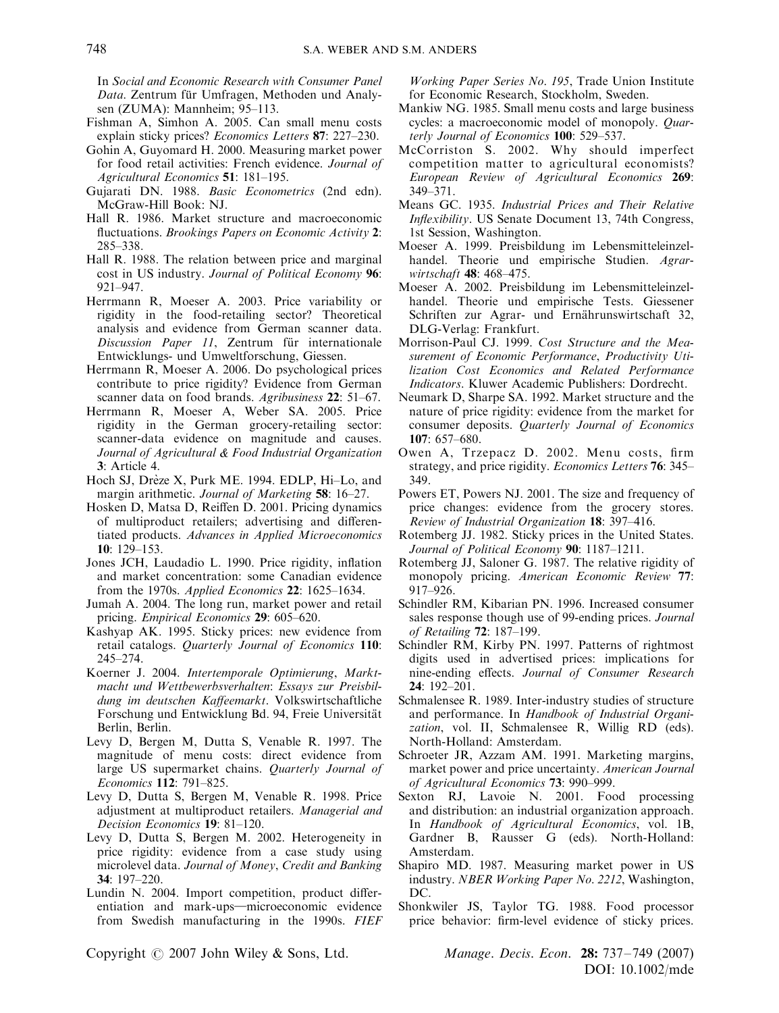In Social and Economic Research with Consumer Panel Data. Zentrum für Umfragen, Methoden und Analysen (ZUMA): Mannheim; 95–113.

- Fishman A, Simhon A. 2005. Can small menu costs explain sticky prices? Economics Letters 87: 227–230.
- Gohin A, Guyomard H. 2000. Measuring market power for food retail activities: French evidence. Journal of Agricultural Economics 51: 181–195.
- Gujarati DN. 1988. Basic Econometrics (2nd edn). McGraw-Hill Book: NJ.
- Hall R. 1986. Market structure and macroeconomic fluctuations. *Brookings Papers on Economic Activity* 2: 285–338.
- Hall R. 1988. The relation between price and marginal cost in US industry. Journal of Political Economy 96: 921–947.
- Herrmann R, Moeser A. 2003. Price variability or rigidity in the food-retailing sector? Theoretical analysis and evidence from German scanner data. Discussion Paper 11, Zentrum für internationale Entwicklungs- und Umweltforschung, Giessen.
- Herrmann R, Moeser A. 2006. Do psychological prices contribute to price rigidity? Evidence from German scanner data on food brands. Agribusiness 22: 51–67.
- Herrmann R, Moeser A, Weber SA. 2005. Price rigidity in the German grocery-retailing sector: scanner-data evidence on magnitude and causes. Journal of Agricultural & Food Industrial Organization 3: Article 4.
- Hoch SJ, Drèze X, Purk ME. 1994. EDLP, Hi-Lo, and margin arithmetic. *Journal of Marketing* 58: 16–27.
- Hosken D, Matsa D, Reiffen D. 2001. Pricing dynamics of multiproduct retailers; advertising and differentiated products. Advances in Applied Microeconomics 10: 129–153.
- Jones JCH, Laudadio L. 1990. Price rigidity, inflation and market concentration: some Canadian evidence from the 1970s. Applied Economics 22: 1625–1634.
- Jumah A. 2004. The long run, market power and retail pricing. Empirical Economics 29: 605–620.
- Kashyap AK. 1995. Sticky prices: new evidence from retail catalogs. Quarterly Journal of Economics 110: 245–274.
- Koerner J. 2004. Intertemporale Optimierung, Marktmacht und Wettbewerbsverhalten: Essays zur Preisbildung im deutschen Kaffeemarkt. Volkswirtschaftliche Forschung und Entwicklung Bd. 94, Freie Universität Berlin, Berlin.
- Levy D, Bergen M, Dutta S, Venable R. 1997. The magnitude of menu costs: direct evidence from large US supermarket chains. Quarterly Journal of Economics 112: 791–825.
- Levy D, Dutta S, Bergen M, Venable R. 1998. Price adjustment at multiproduct retailers. Managerial and Decision Economics 19: 81–120.
- Levy D, Dutta S, Bergen M. 2002. Heterogeneity in price rigidity: evidence from a case study using microlevel data. Journal of Money, Credit and Banking 34: 197–220.
- Lundin N. 2004. Import competition, product differentiation and mark-ups-microeconomic evidence from Swedish manufacturing in the 1990s. FIEF

Copyright  $\odot$  2007 John Wiley & Sons, Ltd. Manage. Decis. Econ. 28: 737–749 (2007)

Working Paper Series No. 195, Trade Union Institute for Economic Research, Stockholm, Sweden.

- Mankiw NG. 1985. Small menu costs and large business cycles: a macroeconomic model of monopoly. Quarterly Journal of Economics 100: 529–537.
- McCorriston S. 2002. Why should imperfect competition matter to agricultural economists? European Review of Agricultural Economics 269: 349–371.
- Means GC. 1935. Industrial Prices and Their Relative Inflexibility. US Senate Document 13, 74th Congress, 1st Session, Washington.
- Moeser A. 1999. Preisbildung im Lebensmitteleinzelhandel. Theorie und empirische Studien. Agrarwirtschaft 48: 468–475.
- Moeser A. 2002. Preisbildung im Lebensmitteleinzelhandel. Theorie und empirische Tests. Giessener Schriften zur Agrar- und Ernährunswirtschaft 32, DLG-Verlag: Frankfurt.
- Morrison-Paul CJ. 1999. Cost Structure and the Measurement of Economic Performance, Productivity Utilization Cost Economics and Related Performance Indicators. Kluwer Academic Publishers: Dordrecht.
- Neumark D, Sharpe SA. 1992. Market structure and the nature of price rigidity: evidence from the market for consumer deposits. Quarterly Journal of Economics 107: 657–680.
- Owen A, Trzepacz D. 2002. Menu costs, firm strategy, and price rigidity. *Economics Letters* **76**: 345– 349.
- Powers ET, Powers NJ. 2001. The size and frequency of price changes: evidence from the grocery stores. Review of Industrial Organization 18: 397–416.
- Rotemberg JJ. 1982. Sticky prices in the United States. Journal of Political Economy 90: 1187–1211.
- Rotemberg JJ, Saloner G. 1987. The relative rigidity of monopoly pricing. American Economic Review 77: 917–926.
- Schindler RM, Kibarian PN. 1996. Increased consumer sales response though use of 99-ending prices. Journal of Retailing 72: 187–199.
- Schindler RM, Kirby PN. 1997. Patterns of rightmost digits used in advertised prices: implications for nine-ending effects. Journal of Consumer Research 24: 192–201.
- Schmalensee R. 1989. Inter-industry studies of structure and performance. In Handbook of Industrial Organization, vol. II, Schmalensee R, Willig RD (eds). North-Holland: Amsterdam.
- Schroeter JR, Azzam AM. 1991. Marketing margins, market power and price uncertainty. American Journal of Agricultural Economics 73: 990–999.
- Sexton RJ, Lavoie N. 2001. Food processing and distribution: an industrial organization approach. In Handbook of Agricultural Economics, vol. 1B, Gardner B, Rausser G (eds). North-Holland: Amsterdam.
- Shapiro MD. 1987. Measuring market power in US industry. NBER Working Paper No. 2212, Washington, DC.
- Shonkwiler JS, Taylor TG. 1988. Food processor price behavior: firm-level evidence of sticky prices.